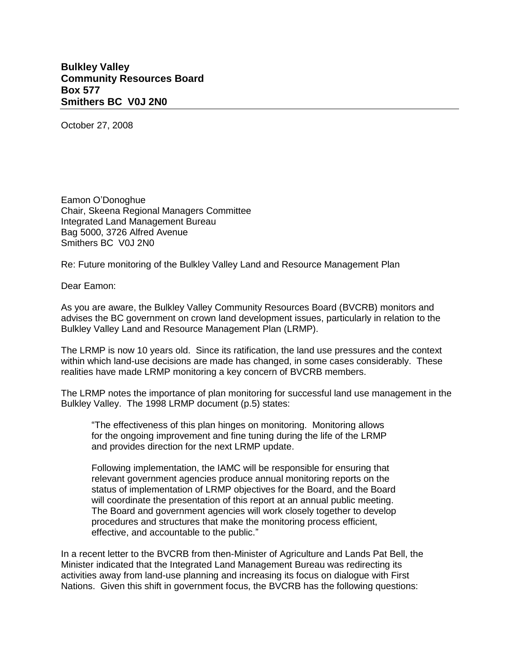## **Bulkley Valley Community Resources Board Box 577 Smithers BC V0J 2N0**

October 27, 2008

Eamon O'Donoghue Chair, Skeena Regional Managers Committee Integrated Land Management Bureau Bag 5000, 3726 Alfred Avenue Smithers BC V0J 2N0

Re: Future monitoring of the Bulkley Valley Land and Resource Management Plan

Dear Eamon:

As you are aware, the Bulkley Valley Community Resources Board (BVCRB) monitors and advises the BC government on crown land development issues, particularly in relation to the Bulkley Valley Land and Resource Management Plan (LRMP).

The LRMP is now 10 years old. Since its ratification, the land use pressures and the context within which land-use decisions are made has changed, in some cases considerably. These realities have made LRMP monitoring a key concern of BVCRB members.

The LRMP notes the importance of plan monitoring for successful land use management in the Bulkley Valley. The 1998 LRMP document (p.5) states:

"The effectiveness of this plan hinges on monitoring. Monitoring allows for the ongoing improvement and fine tuning during the life of the LRMP and provides direction for the next LRMP update.

Following implementation, the IAMC will be responsible for ensuring that relevant government agencies produce annual monitoring reports on the status of implementation of LRMP objectives for the Board, and the Board will coordinate the presentation of this report at an annual public meeting. The Board and government agencies will work closely together to develop procedures and structures that make the monitoring process efficient, effective, and accountable to the public."

In a recent letter to the BVCRB from then-Minister of Agriculture and Lands Pat Bell, the Minister indicated that the Integrated Land Management Bureau was redirecting its activities away from land-use planning and increasing its focus on dialogue with First Nations. Given this shift in government focus, the BVCRB has the following questions: